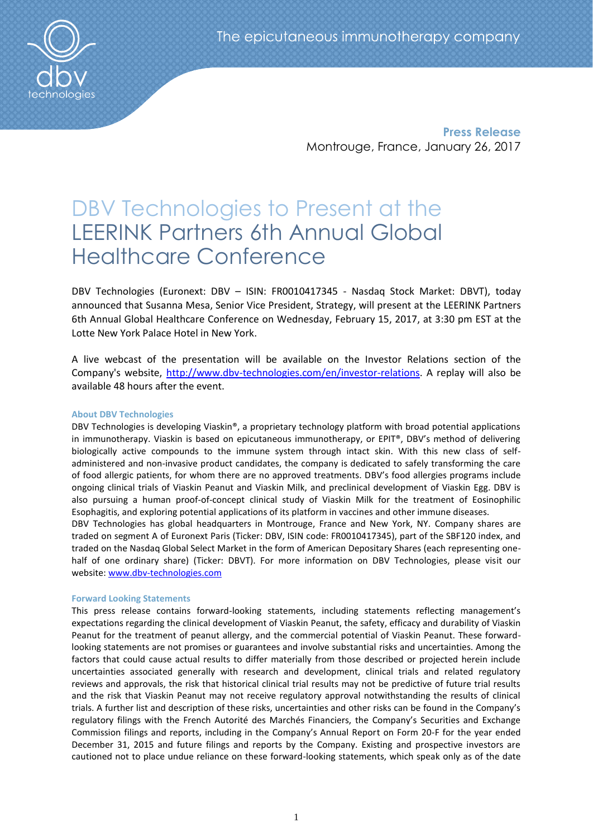**Press Release** Montrouge, France, January 26, 2017

# DBV Technologies to Present at the LEERINK Partners 6th Annual Global Healthcare Conference

DBV Technologies (Euronext: DBV – ISIN: FR0010417345 - Nasdaq Stock Market: DBVT), today announced that Susanna Mesa, Senior Vice President, Strategy, will present at the LEERINK Partners 6th Annual Global Healthcare Conference on Wednesday, February 15, 2017, at 3:30 pm EST at the Lotte New York Palace Hotel in New York.

A live webcast of the presentation will be available on the Investor Relations section of the Company's website, [http://www.dbv-technologies.com/en/investor-relations.](http://www.dbv-technologies.com/en/investor-relations) A replay will also be available 48 hours after the event.

## **About DBV Technologies**

DBV Technologies is developing Viaskin®, a proprietary technology platform with broad potential applications in immunotherapy. Viaskin is based on epicutaneous immunotherapy, or EPIT®, DBV's method of delivering biologically active compounds to the immune system through intact skin. With this new class of selfadministered and non-invasive product candidates, the company is dedicated to safely transforming the care of food allergic patients, for whom there are no approved treatments. DBV's food allergies programs include ongoing clinical trials of Viaskin Peanut and Viaskin Milk, and preclinical development of Viaskin Egg. DBV is also pursuing a human proof-of-concept clinical study of Viaskin Milk for the treatment of Eosinophilic Esophagitis, and exploring potential applications of its platform in vaccines and other immune diseases.

DBV Technologies has global headquarters in Montrouge, France and New York, NY. Company shares are traded on segment A of Euronext Paris (Ticker: DBV, ISIN code: FR0010417345), part of the SBF120 index, and traded on the Nasdaq Global Select Market in the form of American Depositary Shares (each representing onehalf of one ordinary share) (Ticker: DBVT). For more information on DBV Technologies, please visit our website: [www.dbv-technologies.com](http://www.dbv-technologies.com/)

### **Forward Looking Statements**

This press release contains forward-looking statements, including statements reflecting management's expectations regarding the clinical development of Viaskin Peanut, the safety, efficacy and durability of Viaskin Peanut for the treatment of peanut allergy, and the commercial potential of Viaskin Peanut. These forwardlooking statements are not promises or guarantees and involve substantial risks and uncertainties. Among the factors that could cause actual results to differ materially from those described or projected herein include uncertainties associated generally with research and development, clinical trials and related regulatory reviews and approvals, the risk that historical clinical trial results may not be predictive of future trial results and the risk that Viaskin Peanut may not receive regulatory approval notwithstanding the results of clinical trials. A further list and description of these risks, uncertainties and other risks can be found in the Company's regulatory filings with the French Autorité des Marchés Financiers, the Company's Securities and Exchange Commission filings and reports, including in the Company's Annual Report on Form 20-F for the year ended December 31, 2015 and future filings and reports by the Company. Existing and prospective investors are cautioned not to place undue reliance on these forward-looking statements, which speak only as of the date